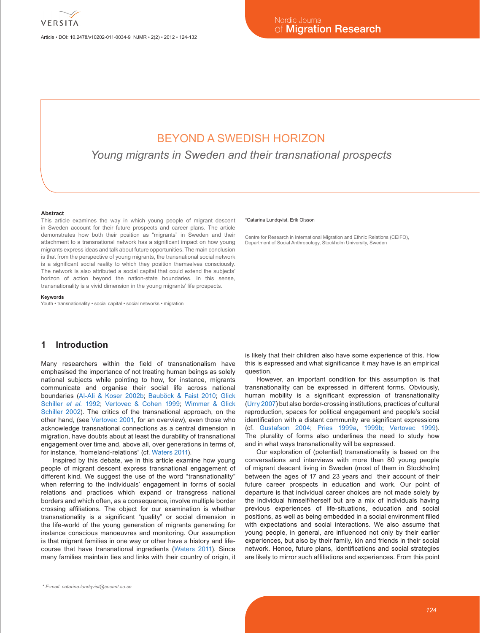

Article • DOI: 10.2478/v10202-011-0034-9 NJMR • 2(2) • 2012 • 124-132

# BEYOND A SWEDISH HORIZON

*Young migrants in Sweden and their transnational prospects*

#### **Abstract**

This article examines the way in which young people of migrant descent in Sweden account for their future prospects and career plans. The article demonstrates how both their position as "migrants" in Sweden and their attachment to a transnational network has a significant impact on how young migrants express ideas and talk about future opportunities. The main conclusion is that from the perspective of young migrants, the transnational social network is a significant social reality to which they position themselves consciously. The network is also attributed a social capital that could extend the subjects' horizon of action beyond the nation-state boundaries. In this sense, transnationality is a vivid dimension in the young migrants' life prospects.

#### **Keywords**

Youth • transnationality • social capital • social networks • migration

# **1 Introduction**

Many researchers within the field of transnationalism have emphasised the importance of not treating human beings as solely national subjects while pointing to how, for instance, migrants communicate and organise their social life across national boundaries ([Al-Ali & Koser 2002b](#page-6-0); [Bauböck & Faist 2010](#page-6-1); [Glick](#page-7-0) [Schiller](#page-7-0) *et al.* 1992; [Vertovec & Cohen 1999](#page-8-0); [Wimmer & Glick](#page-8-1) [Schiller 2002\)](#page-8-1). The critics of the transnational approach, on the other hand, (see [Vertovec 2001,](#page-8-2) for an overview), even those who acknowledge transnational connections as a central dimension in migration, have doubts about at least the durability of transnational engagement over time and, above all, over generations in terms of, for instance, "homeland-relations" (cf. [Waters 2011](#page-8-3)).

Inspired by this debate, we in this article examine how young people of migrant descent express transnational engagement of different kind. We suggest the use of the word "transnationality" when referring to the individuals' engagement in forms of social relations and practices which expand or transgress national borders and which often, as a consequence, involve multiple border crossing affiliations. The object for our examination is whether transnationality is a significant "quality" or social dimension in the life-world of the young generation of migrants generating for instance conscious manoeuvres and monitoring. Our assumption is that migrant families in one way or other have a history and lifecourse that have transnational ingredients [\(Waters 2011\)](#page-8-3). Since many families maintain ties and links with their country of origin, it

\*Catarina Lundqvist, Erik Olsson

is likely that their children also have some experience of this. How this is expressed and what significance it may have is an empirical question.

Centre for Research in International Migration and Ethnic Relations (CEIFO), Department of Social Anthropology, Stockholm University, Sweden

However, an important condition for this assumption is that transnationality can be expressed in different forms. Obviously, human mobility is a significant expression of transnationality ([Urry 2007](#page-8-4)) but also border-crossing institutions, practices of cultural reproduction, spaces for political engagement and people's social identification with a distant community are significant expressions (cf. [Gustafson 2004](#page-7-1); [Pries 1999](#page-8-5)a, [1999b](#page-8-6); [Vertovec 1999](#page-8-7)). The plurality of forms also underlines the need to study how and in what ways transnationality will be expressed.

Our exploration of (potential) transnationality is based on the conversations and interviews with more than 80 young people of migrant descent living in Sweden (most of them in Stockholm) between the ages of 17 and 23 years and their account of their future career prospects in education and work. Our point of departure is that individual career choices are not made solely by the individual himself/herself but are a mix of individuals having previous experiences of life-situations, education and social positions, as well as being embedded in a social environment filled with expectations and social interactions. We also assume that young people, in general, are influenced not only by their earlier experiences, but also by their family, kin and friends in their social network. Hence, future plans, identifications and social strategies are likely to mirror such affiliations and experiences. From this point

*<sup>\*</sup> E-mail: catarina.lundqvist@socant.su.se*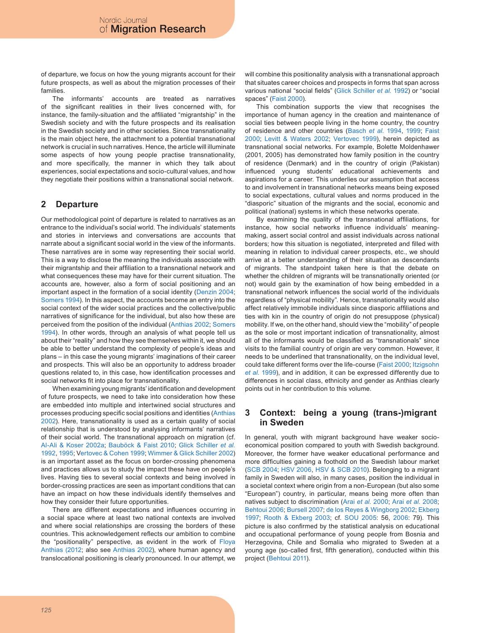of departure, we focus on how the young migrants account for their future prospects, as well as about the migration processes of their families.

The informants' accounts are treated as narratives of the significant realities in their lives concerned with, for instance, the family-situation and the affiliated "migrantship" in the Swedish society and with the future prospects and its realisation in the Swedish society and in other societies. Since transnationality is the main object here, the attachment to a potential transnational network is crucial in such narratives. Hence, the article will illuminate some aspects of how young people practise transnationality, and more specifically, the manner in which they talk about experiences, social expectations and socio-cultural values, and how they negotiate their positions within a transnational social network.

### **2 Departure**

Our methodological point of departure is related to narratives as an entrance to the individual's social world. The individuals' statements and stories in interviews and conversations are accounts that narrate about a significant social world in the view of the informants. These narratives are in some way representing their social world. This is a way to disclose the meaning the individuals associate with their migrantship and their affiliation to a transnational network and what consequences these may have for their current situation. The accounts are, however, also a form of social positioning and an important aspect in the formation of a social identity ([Denzin 2004](#page-7-2); [Somers 1994\)](#page-8-8). In this aspect, the accounts become an entry into the social context of the wider social practices and the collective/public narratives of significance for the individual, but also how these are perceived from the position of the individual ([Anthias 2002](#page-6-2); [Somers](#page-8-8) [1994\)](#page-8-8). In other words, through an analysis of what people tell us about their "reality" and how they see themselves within it, we should be able to better understand the complexity of people's ideas and plans – in this case the young migrants' imaginations of their career and prospects. This will also be an opportunity to address broader questions related to, in this case, how identification processes and social networks fit into place for transnationality.

When examining young migrants' identification and development of future prospects, we need to take into consideration how these are embedded into multiple and intertwined social structures and processes producing specific social positions and identities ([Anthias](#page-6-2) [2002](#page-6-2)). Here, transnationality is used as a certain quality of social relationship that is understood by analysing informants' narratives of their social world. The transnational approach on migration (cf. [Al-Ali & Koser 2002](#page-6-3)a; [Bauböck & Faist 2010](#page-6-1); [Glick Schiller](#page-7-0) *et al.* [1992](#page-7-0), [199](#page-7-3)5; V[ertovec & Cohen 1999](#page-8-0); [Wimmer & Glick Schiller 2002](#page-8-1)) is an important asset as the focus on border-crossing phenomena and practices allows us to study the impact these have on people's lives. Having ties to several social contexts and being involved in border-crossing practices are seen as important conditions that can have an impact on how these individuals identify themselves and how they consider their future opportunities.

There are different expectations and influences occurring in a social space where at least two national contexts are involved and where social relationships are crossing the borders of these countries. This acknowledgement reflects our ambition to combine the "positionality" perspective, as evident in the work of [Floya](#page-6-4) [Anthias \(2012](#page-6-4); also see [Anthias 2002\)](#page-6-2), where human agency and translocational positioning is clearly pronounced. In our attempt, we will combine this positionality analysis with a transnational approach that situates career choices and prospects in forms that span across various national "social fields" ([Glick Schiller](#page-7-0) *et al.* 1992) or "social spaces" ([Faist 2000](#page-7-4)).

This combination supports the view that recognises the importance of human agency in the creation and maintenance of social ties between people living in the home country, the country of residence and other countries ([Basch](#page-6-5) *et al.* 1994, [1999](#page-6-6); [Faist](#page-7-4) [2000](#page-7-4); [Levitt & Waters 2002](#page-7-5); [Vertovec 1999](#page-8-7)), herein depicted as transnational social networks. For example, Bolette Moldenhawer (2001, 2005) has demonstrated how family position in the country of residence (Denmark) and in the country of origin (Pakistan) influenced young students' educational achievements and aspirations for a career. This underlies our assumption that access to and involvement in transnational networks means being exposed to social expectations, cultural values and norms produced in the "diasporic" situation of the migrants and the social, economic and political (national) systems in which these networks operate.

By examining the quality of the transnational affiliations, for instance, how social networks influence individuals' meaningmaking, assert social control and assist individuals across national borders; how this situation is negotiated, interpreted and filled with meaning in relation to individual career prospects, etc., we should arrive at a better understanding of their situation as descendants of migrants. The standpoint taken here is that the debate on whether the children of migrants will be transnationally oriented (or not) would gain by the examination of how being embedded in a transnational network influences the social world of the individuals regardless of "physical mobility". Hence, transnationality would also affect relatively immobile individuals since diasporic affiliations and ties with kin in the country of origin do not presuppose (physical) mobility. If we, on the other hand, should view the "mobility" of people as the sole or most important indication of transnationality, almost all of the informants would be classified as "transnationals" since visits to the familial country of origin are very common. However, it needs to be underlined that transnationality, on the individual level, could take different forms over the life-course [\(Faist 2000](#page-7-4); [Itzigsohn](#page-7-6) *et al.* [1999\)](#page-7-6), and in addition, it can be expressed differently due to differences in social class, ethnicity and gender as Anthias clearly points out in her contribution to this volume.

### **3 Context: being a young (trans-)migrant in Sweden**

In general, youth with migrant background have weaker socioeconomical position compared to youth with Swedish background. Moreover, the former have weaker educational performance and more difficulties gaining a foothold on the Swedish labour market ([SCB 2004](#page-8-9); [HSV 200](#page-7-7)6, [HSV & SCB 2010](#page-7-8)). Belonging to a migrant family in Sweden will also, in many cases, position the individual in a societal context where origin from a non-European (but also some "European") country, in particular, means being more often than natives subject to discrimination (Arai *et al.* [2000](#page-6-7); Arai *et al.* [2008](#page-6-8); [Behtoui 200](#page-7-9)6; [Bursell 2007](#page-7-10); [de los Reyes & Wingborg 2002](#page-7-11); [Ekberg](#page-7-12) [1997](#page-7-12); [Rooth & Ekberg 2003;](#page-8-10) cf. [SOU 200](#page-8-11)5: 56, [200](#page-8-12)6: 79). This picture is also confirmed by the statistical analysis on educational and occupational performance of young people from Bosnia and Herzegovina, Chile and Somalia who migrated to Sweden at a young age (so-called first, fifth generation), conducted within this project ([Behtoui 2011](#page-7-13)).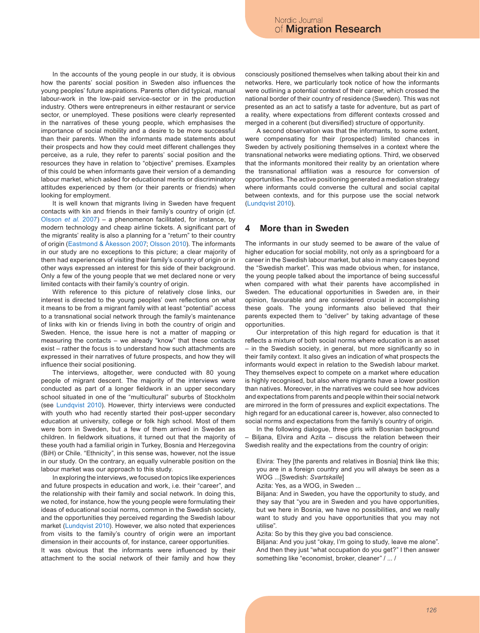In the accounts of the young people in our study, it is obvious how the parents' social position in Sweden also influences the young peoples' future aspirations. Parents often did typical, manual labour-work in the low-paid service-sector or in the production industry. Others were entrepreneurs in either restaurant or service sector, or unemployed. These positions were clearly represented in the narratives of these young people, which emphasises the importance of social mobility and a desire to be more successful than their parents. When the informants made statements about their prospects and how they could meet different challenges they perceive, as a rule, they refer to parents' social position and the resources they have in relation to "objective" premises. Examples of this could be when informants gave their version of a demanding labour market, which asked for educational merits or discriminatory attitudes experienced by them (or their parents or friends) when looking for employment.

It is well known that migrants living in Sweden have frequent contacts with kin and friends in their family's country of origin (cf. [Olsson](#page-8-13) *et al.* 2007) – a phenomenon facilitated, for instance, by modern technology and cheap airline tickets. A significant part of the migrants' reality is also a planning for a "return" to their country of origin ([Eastmond & Åkesson 2007](#page-7-14); [Olsson 2010](#page-8-14)). The informants in our study are no exceptions to this picture; a clear majority of them had experiences of visiting their family's country of origin or in other ways expressed an interest for this side of their background. Only a few of the young people that we met declared none or very limited contacts with their family's country of origin.

With reference to this picture of relatively close links, our interest is directed to the young peoples' own reflections on what it means to be from a migrant family with at least "potential" access to a transnational social network through the family's maintenance of links with kin or friends living in both the country of origin and Sweden. Hence, the issue here is not a matter of mapping or measuring the contacts – we already "know" that these contacts exist – rather the focus is to understand how such attachments are expressed in their narratives of future prospects, and how they will influence their social positioning.

The interviews, altogether, were conducted with 80 young people of migrant descent. The majority of the interviews were conducted as part of a longer fieldwork in an upper secondary school situated in one of the "multicultural" suburbs of Stockholm (see [Lundqvist 2010\)](#page-7-15). However, thirty interviews were conducted with youth who had recently started their post-upper secondary education at university, college or folk high school. Most of them were born in Sweden, but a few of them arrived in Sweden as children. In fieldwork situations, it turned out that the majority of these youth had a familial origin in Turkey, Bosnia and Herzegovina (BiH) or Chile. "Ethnicity", in this sense was, however, not the issue in our study. On the contrary, an equally vulnerable position on the labour market was our approach to this study.

In exploring the interviews, we focused on topics like experiences and future prospects in education and work, i.e. their "career", and the relationship with their family and social network. In doing this, we noted, for instance, how the young people were formulating their ideas of educational social norms, common in the Swedish society, and the opportunities they perceived regarding the Swedish labour market ([Lundqvist 2010\)](#page-7-15). However, we also noted that experiences from visits to the family's country of origin were an important dimension in their accounts of, for instance, career opportunities.

It was obvious that the informants were influenced by their attachment to the social network of their family and how they consciously positioned themselves when talking about their kin and networks. Here, we particularly took notice of how the informants were outlining a potential context of their career, which crossed the national border of their country of residence (Sweden). This was not presented as an act to satisfy a taste for adventure, but as part of a reality, where expectations from different contexts crossed and merged in a coherent (but diversified) structure of opportunity.

A second observation was that the informants, to some extent, were compensating for their (prospected) limited chances in Sweden by actively positioning themselves in a context where the transnational networks were mediating options. Third, we observed that the informants monitored their reality by an orientation where the transnational affiliation was a resource for conversion of opportunities. The active positioning generated a mediation strategy where informants could converse the cultural and social capital between contexts, and for this purpose use the social network ([Lundqvist 2010](#page-7-15)).

### **4 More than in Sweden**

The informants in our study seemed to be aware of the value of higher education for social mobility, not only as a springboard for a career in the Swedish labour market, but also in many cases beyond the "Swedish market". This was made obvious when, for instance, the young people talked about the importance of being successful when compared with what their parents have accomplished in Sweden. The educational opportunities in Sweden are, in their opinion, favourable and are considered crucial in accomplishing these goals. The young informants also believed that their parents expected them to "deliver" by taking advantage of these opportunities.

Our interpretation of this high regard for education is that it reflects a mixture of both social norms where education is an asset – in the Swedish society, in general, but more significantly so in their family context. It also gives an indication of what prospects the informants would expect in relation to the Swedish labour market. They themselves expect to compete on a market where education is highly recognised, but also where migrants have a lower position than natives. Moreover, in the narratives we could see how advices and expectations from parents and people within their social network are mirrored in the form of pressures and explicit expectations. The high regard for an educational career is, however, also connected to social norms and expectations from the family's country of origin.

In the following dialogue, three girls with Bosnian background – Biljana, Elvira and Azita – discuss the relation between their Swedish reality and the expectations from the country of origin:

Elvira: They [the parents and relatives in Bosnia] think like this; you are in a foreign country and you will always be seen as a WOG ...[Swedish: *Svartskalle*]

Azita: Yes, as a WOG, in Sweden ...

Biljana: And in Sweden, you have the opportunity to study, and they say that "you are in Sweden and you have opportunities, but we here in Bosnia, we have no possibilities, and we really want to study and you have opportunities that you may not utilise".

Azita: So by this they give you bad conscience.

Biljana: And you just "okay, I'm going to study, leave me alone". And then they just "what occupation do you get?" I then answer something like "economist, broker, cleaner" / ... /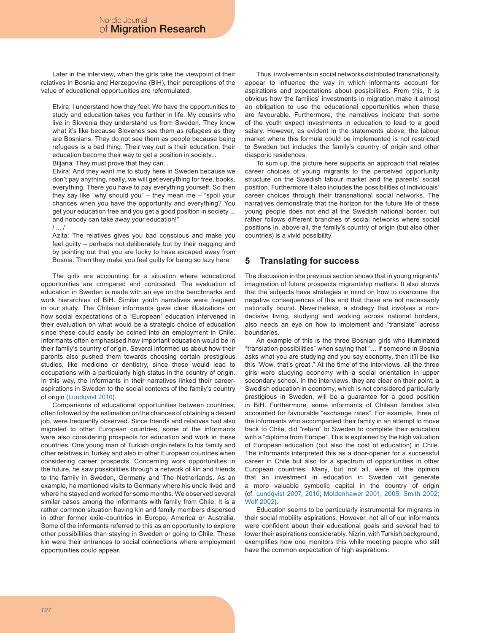Later in the interview, when the girls take the viewpoint of their relatives in Bosnia and Herzegovina (BiH), their perceptions of the value of educational opportunities are reformulated:

Elvira: I understand how they feel. We have the opportunities to study and education takes you further in life. My cousins who live in Slovenia they understand us from Sweden. They know what it's like because Slovenes see them as refugees as they are Bosnians. They do not see them as people because being refugees is a bad thing. Their way out is their education, their education become their way to get a position in society...

Biljana: They must prove that they can...

Elvira: And they want me to study here in Sweden because we don´t pay anything, really, we will get everything for free, books, everything. There you have to pay everything yourself. So then they say like "why should you" – they mean me – "spoil your chances when you have the opportunity and everything? You get your education free and you get a good position in society ... and nobody can take away your education!"

### / ... /

Azita: The relatives gives you bad conscious and make you feel guilty – perhaps not deliberately but by their nagging and by pointing out that you are lucky to have escaped away from Bosnia. Then they make you feel guilty for being so lazy here.

The girls are accounting for a situation where educational opportunities are compared and contrasted. The evaluation of education in Sweden is made with an eye on the benchmarks and work hierarchies of BiH. Similar youth narratives were frequent in our study. The Chilean informants gave clear illustrations on how social expectations of a "European" education intervened in their evaluation on what would be a strategic choice of education since these could easily be coined into an employment in Chile. Informants often emphasised how important education would be in their family's country of origin. Several informed us about how their parents also pushed them towards choosing certain prestigious studies, like medicine or dentistry, since these would lead to occupations with a particularly high status in the country of origin. In this way, the informants in their narratives linked their careeraspirations in Sweden to the social contexts of the family's country of origin ([Lundqvist 2010\)](#page-7-15).

Comparisons of educational opportunities between countries, often followed by the estimation on the chances of obtaining a decent job, were frequently observed. Since friends and relatives had also migrated to other European countries, some of the informants were also considering prospects for education and work in these countries. One young man of Turkish origin refers to his family and other relatives in Turkey and also in other European countries when considering career prospects. Concerning work opportunities in the future, he saw possibilities through a network of kin and friends to the family in Sweden, Germany and The Netherlands. As an example, he mentioned visits to Germany where his uncle lived and where he stayed and worked for some months. We observed several similar cases among the informants with family from Chile. It is a rather common situation having kin and family members dispersed in other former exile-countries in Europe, America or Australia. Some of the informants referred to this as an opportunity to explore other possibilities than staying in Sweden or going to Chile. These kin were their entrances to social connections where employment opportunities could appear.

Thus, involvements in social networks distributed transnationally appear to influence the way in which informants account for aspirations and expectations about possibilities. From this, it is obvious how the families' investments in migration make it almost an obligation to use the educational opportunities when these are favourable. Furthermore, the narratives indicate that some of the youth expect investments in education to lead to a good salary. However, as evident in the statements above, the labour market where this formula could be implemented is not restricted to Sweden but includes the family's country of origin and other diasporic residences.

To sum up, the picture here supports an approach that relates career choices of young migrants to the perceived opportunity structure on the Swedish labour market and the parents' social position. Furthermore it also includes the possibilities of individuals' career choices through their transnational social networks. The narratives demonstrate that the horizon for the future life of these young people does not end at the Swedish national border, but rather follows different branches of social networks where social positions in, above all, the family's country of origin (but also other countries) is a vivid possibility.

### **5 Translating for success**

The discussion in the previous section shows that in young migrants' imagination of future prospects migrantship matters. It also shows that the subjects have strategies in mind on how to overcome the negative consequences of this and that these are not necessarily nationally bound. Nevertheless, a strategy that involves a nondecisive living, studying and working across national borders, also needs an eye on how to implement and "translate" across boundaries.

An example of this is the three Bosnian girls who illuminated "translation possibilities" when saying that "… if someone in Bosnia asks what you are studying and you say economy, then it'll be like this 'Wow, that's great'." At the time of the interviews, all the three girls were studying economy with a social orientation in upper secondary school. In the interviews, they are clear on their point; a Swedish education in economy, which is not considered particularly prestigious in Sweden, will be a guarantee for a good position in BiH. Furthermore, some informants of Chilean families also accounted for favourable "exchange rates". For example, three of the informants who accompanied their family in an attempt to move back to Chile, did "return" to Sweden to complete their education with a "diploma from Europe". This is explained by the high valuation of European education (but also the cost of education) in Chile. The informants interpreted this as a door-opener for a successful career in Chile but also for a spectrum of opportunities in other European countries. Many, but not all, were of the opinion that an investment in education in Sweden will generate a more valuable symbolic capital in the country of origin (cf. [Lundqvist 2007,](#page-7-16) [2010](#page-7-15); [Moldenhawer 2001,](#page-7-17) [200](#page-7-18)5; [Smith 2002](#page-8-15); [Wolf 2002](#page-8-16)).

Education seems to be particularly instrumental for migrants in their social mobility aspirations. However, not all of our informants were confident about their educational goals and several had to lower their aspirations considerably. Nizrin, with Turkish background, exemplifies how one monitors this while meeting people who still have the common expectation of high aspirations: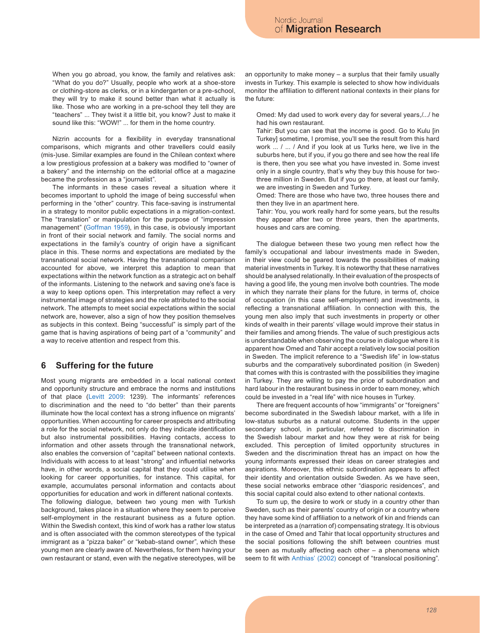When you go abroad, you know, the family and relatives ask: "What do you do?" Usually, people who work at a shoe-store or clothing-store as clerks, or in a kindergarten or a pre-school, they will try to make it sound better than what it actually is like. Those who are working in a pre-school they tell they are "teachers" ... They twist it a little bit, you know? Just to make it sound like this: "WOW!" ... for them in the home country.

Nizrin accounts for a flexibility in everyday transnational comparisons, which migrants and other travellers could easily (mis-)use. Similar examples are found in the Chilean context where a low prestigious profession at a bakery was modified to "owner of a bakery" and the internship on the editorial office at a magazine became the profession as a "journalist".

The informants in these cases reveal a situation where it becomes important to uphold the image of being successful when performing in the "other" country. This face-saving is instrumental in a strategy to monitor public expectations in a migration-context. The "translation" or manipulation for the purpose of "impression management" ([Goffman 1959\)](#page-7-19), in this case, is obviously important in front of their social network and family. The social norms and expectations in the family's country of origin have a significant place in this. These norms and expectations are mediated by the transnational social network. Having the transnational comparison accounted for above, we interpret this adaption to mean that expectations within the network function as a strategic act on behalf of the informants. Listening to the network and saving one's face is a way to keep options open. This interpretation may reflect a very instrumental image of strategies and the role attributed to the social network. The attempts to meet social expectations within the social network are, however, also a sign of how they position themselves as subjects in this context. Being "successful" is simply part of the game that is having aspirations of being part of a "community" and a way to receive attention and respect from this.

## **6 Suffering for the future**

Most young migrants are embedded in a local national context and opportunity structure and embrace the norms and institutions of that place ([Levitt 2009](#page-7-20): 1239). The informants' references to discrimination and the need to "do better" than their parents illuminate how the local context has a strong influence on migrants' opportunities. When accounting for career prospects and attributing a role for the social network, not only do they indicate identification but also instrumental possibilities. Having contacts, access to information and other assets through the transnational network, also enables the conversion of "capital" between national contexts. Individuals with access to at least "strong" and influential networks have, in other words, a social capital that they could utilise when looking for career opportunities, for instance. This capital, for example, accumulates personal information and contacts about opportunities for education and work in different national contexts. The following dialogue, between two young men with Turkish background, takes place in a situation where they seem to perceive self-employment in the restaurant business as a future option. Within the Swedish context, this kind of work has a rather low status and is often associated with the common stereotypes of the typical immigrant as a "pizza baker" or "kebab-stand owner", which these young men are clearly aware of. Nevertheless, for them having your own restaurant or stand, even with the negative stereotypes, will be

an opportunity to make money  $-$  a surplus that their family usually invests in Turkey. This example is selected to show how individuals monitor the affiliation to different national contexts in their plans for the future:

Omed: My dad used to work every day for several years,/.../ he had his own restaurant.

Tahir: But you can see that the income is good. Go to Kulu [in Turkey] sometime, I promise, you'll see the result from this hard work ... / ... / And if you look at us Turks here, we live in the suburbs here, but if you, if you go there and see how the real life is there, then you see what you have invested in. Some invest only in a single country, that's why they buy this house for twothree million in Sweden. But if you go there, at least our family, we are investing in Sweden and Turkey.

Omed: There are those who have two, three houses there and then they live in an apartment here.

Tahir: You, you work really hard for some years, but the results they appear after two or three years, then the apartments, houses and cars are coming.

The dialogue between these two young men reflect how the family's occupational and labour investments made in Sweden, in their view could be geared towards the possibilities of making material investments in Turkey. It is noteworthy that these narratives should be analysed relationally. In their evaluation of the prospects of having a good life, the young men involve both countries. The mode in which they narrate their plans for the future, in terms of, choice of occupation (in this case self-employment) and investments, is reflecting a transnational affiliation. In connection with this, the young men also imply that such investments in property or other kinds of wealth in their parents' village would improve their status in their families and among friends. The value of such prestigious acts is understandable when observing the course in dialogue where it is apparent how Omed and Tahir accept a relatively low social position in Sweden. The implicit reference to a "Swedish life" in low-status suburbs and the comparatively subordinated position (in Sweden) that comes with this is contrasted with the possibilities they imagine in Turkey. They are willing to pay the price of subordination and hard labour in the restaurant business in order to earn money, which could be invested in a "real life" with nice houses in Turkey.

There are frequent accounts of how "immigrants" or "foreigners" become subordinated in the Swedish labour market, with a life in low-status suburbs as a natural outcome. Students in the upper secondary school, in particular, referred to discrimination in the Swedish labour market and how they were at risk for being excluded. This perception of limited opportunity structures in Sweden and the discrimination threat has an impact on how the young informants expressed their ideas on career strategies and aspirations. Moreover, this ethnic subordination appears to affect their identity and orientation outside Sweden. As we have seen, these social networks embrace other "diasporic residences", and this social capital could also extend to other national contexts.

To sum up, the desire to work or study in a country other than Sweden, such as their parents' country of origin or a country where they have some kind of affiliation to a network of kin and friends can be interpreted as a (narration of) compensating strategy. It is obvious in the case of Omed and Tahir that local opportunity structures and the social positions following the shift between countries must be seen as mutually affecting each other – a phenomena which seem to fit with [Anthias' \(2002\)](#page-6-2) concept of "translocal positioning".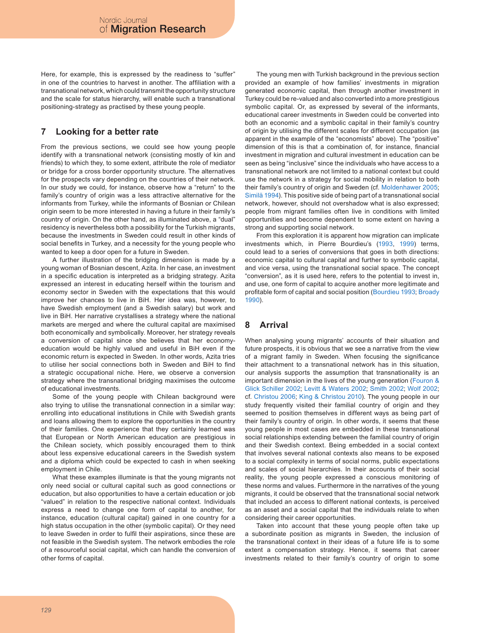Here, for example, this is expressed by the readiness to "suffer" in one of the countries to harvest in another. The affiliation with a transnational network, which could transmit the opportunity structure and the scale for status hierarchy, will enable such a transnational positioning-strategy as practised by these young people.

# **7 Looking for a better rate**

From the previous sections, we could see how young people identify with a transnational network (consisting mostly of kin and friends) to which they, to some extent, attribute the role of mediator or bridge for a cross border opportunity structure. The alternatives for the prospects vary depending on the countries of their network. In our study we could, for instance, observe how a "return" to the family's country of origin was a less attractive alternative for the informants from Turkey, while the informants of Bosnian or Chilean origin seem to be more interested in having a future in their family's country of origin. On the other hand, as illuminated above, a "dual" residency is nevertheless both a possibility for the Turkish migrants, because the investments in Sweden could result in other kinds of social benefits in Turkey, and a necessity for the young people who wanted to keep a door open for a future in Sweden.

A further illustration of the bridging dimension is made by a young woman of Bosnian descent, Azita. In her case, an investment in a specific education is interpreted as a bridging strategy. Azita expressed an interest in educating herself within the tourism and economy sector in Sweden with the expectations that this would improve her chances to live in BiH. Her idea was, however, to have Swedish employment (and a Swedish salary) but work and live in BiH. Her narrative crystallises a strategy where the national markets are merged and where the cultural capital are maximised both economically and symbolically. Moreover, her strategy reveals a conversion of capital since she believes that her economyeducation would be highly valued and useful in BiH even if the economic return is expected in Sweden. In other words, Azita tries to utilise her social connections both in Sweden and BiH to find a strategic occupational niche. Here, we observe a conversion strategy where the transnational bridging maximises the outcome of educational investments.

Some of the young people with Chilean background were also trying to utilise the transnational connection in a similar way: enrolling into educational institutions in Chile with Swedish grants and loans allowing them to explore the opportunities in the country of their families. One experience that they certainly learned was that European or North American education are prestigious in the Chilean society, which possibly encouraged them to think about less expensive educational careers in the Swedish system and a diploma which could be expected to cash in when seeking employment in Chile.

What these examples illuminate is that the young migrants not only need social or cultural capital such as good connections or education, but also opportunities to have a certain education or job "valued" in relation to the respective national context. Individuals express a need to change one form of capital to another, for instance, education (cultural capital) gained in one country for a high status occupation in the other (symbolic capital). Or they need to leave Sweden in order to fulfil their aspirations, since these are not feasible in the Swedish system. The network embodies the role of a resourceful social capital, which can handle the conversion of other forms of capital.

The young men with Turkish background in the previous section provided an example of how families' investments in migration generated economic capital, then through another investment in Turkey could be re-valued and also converted into a more prestigious symbolic capital. Or, as expressed by several of the informants, educational career investments in Sweden could be converted into both an economic and a symbolic capital in their family's country of origin by utilising the different scales for different occupation (as apparent in the example of the "economists" above). The "positive" dimension of this is that a combination of, for instance, financial investment in migration and cultural investment in education can be seen as being "inclusive" since the individuals who have access to a transnational network are not limited to a national context but could use the network in a strategy for social mobility in relation to both their family's country of origin and Sweden (cf. [Moldenhawer 200](#page-7-18)5; [Similä 1994\)](#page-8-17). This positive side of being part of a transnational social network, however, should not overshadow what is also expressed; people from migrant families often live in conditions with limited opportunities and become dependent to some extent on having a strong and supporting social network.

From this exploration it is apparent how migration can implicate investments which, in Pierre Bourdieu's [\(1993,](#page-7-21) [1999\)](#page-7-22) terms, could lead to a series of conversions that goes in both directions: economic capital to cultural capital and further to symbolic capital, and vice versa, using the transnational social space. The concept "conversion", as it is used here, refers to the potential to invest in, and use, one form of capital to acquire another more legitimate and profitable form of capital and social position ([Bourdieu 1993](#page-7-21); [Broady](#page-7-23) [1990](#page-7-23)).

# **8 Arrival**

When analysing young migrants' accounts of their situation and future prospects, it is obvious that we see a narrative from the view of a migrant family in Sweden. When focusing the significance their attachment to a transnational network has in this situation, our analysis supports the assumption that transnationality is an important dimension in the lives of the young generation ([Fouron &](#page-7-24) [Glick Schiller 2002](#page-7-24); [Levitt & Waters 2002](#page-7-5); [Smith 2002](#page-8-15); [Wolf 2002](#page-8-16); cf. [Christou 200](#page-7-25)6; [King & Christou 2010\)](#page-7-26). The young people in our study frequently visited their familial country of origin and they seemed to position themselves in different ways as being part of their family's country of origin. In other words, it seems that these young people in most cases are embedded in these transnational social relationships extending between the familial country of origin and their Swedish context. Being embedded in a social context that involves several national contexts also means to be exposed to a social complexity in terms of social norms, public expectations and scales of social hierarchies. In their accounts of their social reality, the young people expressed a conscious monitoring of these norms and values. Furthermore in the narratives of the young migrants, it could be observed that the transnational social network that included an access to different national contexts, is perceived as an asset and a social capital that the individuals relate to when considering their career opportunities.

Taken into account that these young people often take up a subordinate position as migrants in Sweden, the inclusion of the transnational context in their ideas of a future life is to some extent a compensation strategy. Hence, it seems that career investments related to their family's country of origin to some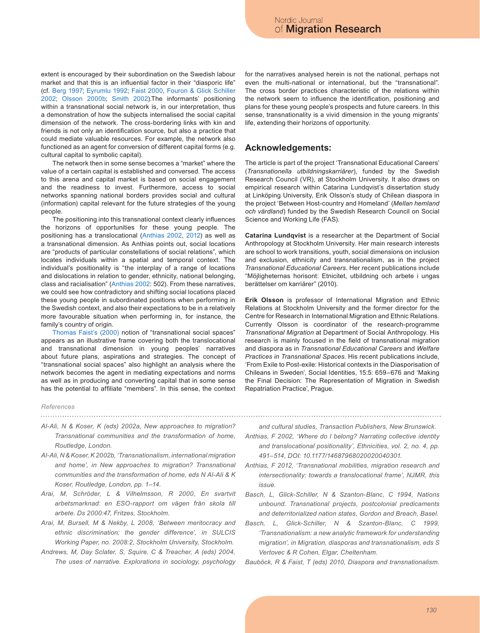extent is encouraged by their subordination on the Swedish labour market and that this is an influential factor in their "diasporic life" (cf. [Berg 1997](#page-7-27); [Eyrumlu 1992](#page-7-28); [Faist 2000](#page-7-4), [Fouron & Glick Schiller](#page-7-24) [2002](#page-7-24); [Olsson 2000b](#page-7-29); [Smith 2002](#page-8-15)).The informants' positioning within a transnational social network is, in our interpretation, thus a demonstration of how the subjects internalised the social capital dimension of the network. The cross-bordering links with kin and friends is not only an identification source, but also a practice that could mediate valuable resources. For example, the network also functioned as an agent for conversion of different capital forms (e.g. cultural capital to symbolic capital).

The network then in some sense becomes a "market" where the value of a certain capital is established and conversed. The access to this arena and capital market is based on social engagement and the readiness to invest. Furthermore, access to social networks spanning national borders provides social and cultural (information) capital relevant for the future strategies of the young people.

The positioning into this transnational context clearly influences the horizons of opportunities for these young people. The positioning has a translocational ([Anthias 2002,](#page-6-2) [2012](#page-6-4)) as well as a transnational dimension. As Anthias points out, social locations are "products of particular constellations of social relations", which locates individuals within a spatial and temporal context. The individual's positionality is "the interplay of a range of locations and dislocations in relation to gender, ethnicity, national belonging, class and racialisation" [\(Anthias 2002](#page-6-2): 502). From these narratives, we could see how contradictory and shifting social locations placed these young people in subordinated positions when performing in the Swedish context, and also their expectations to be in a relatively more favourable situation when performing in, for instance, the family's country of origin.

[Thomas Faist's \(2000\)](#page-7-4) notion of "transnational social spaces" appears as an illustrative frame covering both the translocational and transnational dimension in young peoples' narratives about future plans, aspirations and strategies. The concept of "transnational social spaces" also highlight an analysis where the network becomes the agent in mediating expectations and norms as well as in producing and converting capital that in some sense has the potential to affiliate "members". In this sense, the context for the narratives analysed herein is not the national, perhaps not even the multi-national or international, but the "transnational". The cross border practices characteristic of the relations within the network seem to influence the identification, positioning and plans for these young people's prospects and future careers. In this sense, transnationality is a vivid dimension in the young migrants' life, extending their horizons of opportunity.

### **Acknowledgements:**

The article is part of the project 'Transnational Educational Careers' (*Transnationella utbildningskarriärer*), funded by the Swedish Research Council (VR), at Stockholm University. It also draws on empirical research within Catarina Lundqvist's dissertation study at Linköping University, Erik Olsson's study of Chilean diaspora in the project 'Between Host-country and Homeland' (*Mellan hemland och värdland*) funded by the Swedish Research Council on Social Science and Working Life (FAS).

**Catarina Lundqvist** is a researcher at the Department of Social Anthropology at Stockholm University. Her main research interests are school to work transitions, youth, social dimensions on inclusion and exclusion, ethnicity and transnationalism, as in the project *Transnational Educational Careers*. Her recent publications include "Möjligheternas horisont: Etnicitet, utbildning och arbete i ungas berättelser om karriärer" (2010).

**Erik Olsson** is professor of International Migration and Ethnic Relations at Stockholm University and the former director for the Centre for Research in International Migration and Ethnic Relations. Currently Olsson is coordinator of the research-programme *Transnational Migration* at Department of Social Anthropology. His research is mainly focused in the field of transnational migration and diaspora as in *Transnational Educational Careers* and *Welfare Practices in Transnational Spaces*. His recent publications include, 'From Exile to Post-exile: Historical contexts in the Diasporisation of Chileans in Sweden', Social Identities, 15:5: 659–676 and 'Making the Final Decision: The Representation of Migration in Swedish Repatriation Practice', Prague.

#### *References*

- <span id="page-6-3"></span>*Al-Ali, N & Koser, K (eds) 2002a, New approaches to migration? Transnational communities and the transformation of home, Routledge, London.*
- <span id="page-6-0"></span>*Al-Ali, N & Koser, K 2002b, 'Transnationalism, international migration and home', in New approaches to migration? Transnational communities and the transformation of home, eds N Al-Ali & K Koser, Routledge, London, pp. 1–14.*
- <span id="page-6-7"></span>*Arai, M, Schröder, L & Vilhelmsson, R 2000, En svartvit arbetsmarknad: en ESO-rapport om vägen från skola till arbete. Ds 2000:47, Fritzes, Stockholm.*
- <span id="page-6-8"></span>*Arai, M, Bursell, M & Nekby, L 2008, 'Between meritocracy and ethnic discrimination; the gender difference', in SULCIS Working Paper, no. 2008:2, Stockholm University, Stockholm.*
- *Andrews, M, Day Sclater, S, Squire, C & Treacher, A (eds) 2004, The uses of narrative. Explorations in sociology, psychology*

*and cultural studies, Transaction Publishers, New Brunswick.*

- <span id="page-6-2"></span>*Anthias, F 2002, 'Where do I belong? Narrating collective identity and translocational positionality', Ethnicities, vol. 2, no. 4, pp. 491–514, DOI: 10.1177/14687968020020040301.*
- <span id="page-6-4"></span>*Anthias, F 2012, 'Transnational mobilities, migration research and intersectionality: towards a translocational frame', NJMR, this issue.*
- <span id="page-6-5"></span>*Basch, L, Glick-Schiller, N & Szanton-Blanc, C 1994, Nations unbound. Transnational projects, postcolonial predicaments and deterritorialized nation states, Gordon and Breach, Basel.*
- <span id="page-6-6"></span>*Basch, L, Glick-Schiller, N & Szanton-Blanc, C 1999, 'Transnationalism: a new analytic framework for understanding migration', in Migration, diasporas and transnationalism, eds S Vertovec & R Cohen, Elgar, Cheltenham.*

<span id="page-6-1"></span>*Bauböck, R & Faist, T (eds) 2010, Diaspora and transnationalism.*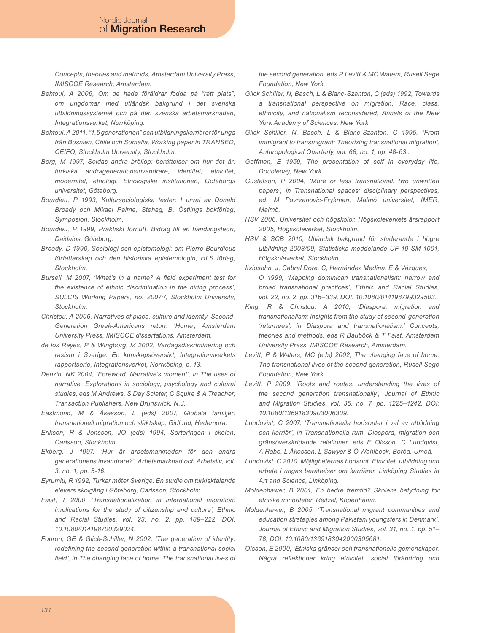*Concepts, theories and methods, Amsterdam University Press, IMISCOE Research, Amsterdam.*

- <span id="page-7-9"></span>*Behtoui, A 2006, Om de hade föräldrar födda på "rätt plats", om ungdomar med utländsk bakgrund i det svenska utbildningssystemet och på den svenska arbetsmarknaden, Integrationsverket, Norrköping.*
- <span id="page-7-13"></span>*Behtoui, A 2011, "1,5 generationen" och utbildningskarriärer för unga från Bosnien, Chile och Somalia, Working paper in TRANSED, CEIFO, Stockholm University, Stockholm.*
- <span id="page-7-27"></span>*Berg, M 1997, Seldas andra bröllop: berättelser om hur det är: turkiska andragenerationsinvandrare, identitet, etnicitet, modernitet, etnologi, Etnologiska institutionen, Göteborgs universitet, Göteborg.*
- <span id="page-7-21"></span>*Bourdieu, P 1993, Kultursociologiska texter: I urval av Donald Broady och Mikael Palme, Stehag, B. Östlings bokförlag, Symposion, Stockholm.*
- <span id="page-7-22"></span>*Bourdieu, P 1999, Praktiskt förnuft. Bidrag till en handlingsteori, Daidalos, Göteborg.*
- <span id="page-7-23"></span>*Broady, D 1990, Sociologi och epistemologi: om Pierre Bourdieus författarskap och den historiska epistemologin, HLS förlag, Stockholm.*
- <span id="page-7-10"></span>*Bursell, M 2007, 'What's in a name? A field experiment test for the existence of ethnic discrimination in the hiring process', SULCIS Working Papers, no. 2007:7, Stockholm University, Stockholm.*
- <span id="page-7-25"></span>*Christou, A 2006, Narratives of place, culture and identity. Second-Generation Greek-Americans return 'Home', Amsterdam University Press, IMISCOE dissertations, Amsterdam.*
- <span id="page-7-11"></span>*de los Reyes, P & Wingborg, M 2002, Vardagsdiskriminering och rasism i Sverige. En kunskapsöversikt, Integrationsverkets rapportserie, Integrationsverket, Norrköping, p. 13.*
- <span id="page-7-2"></span>*Denzin, NK 2004, 'Foreword. Narrative's moment', in The uses of narrative. Explorations in sociology, psychology and cultural studies, eds M Andrews, S Day Sclater, C Squire & A Treacher, Transaction Publishers, New Brunswick, N.J.*
- <span id="page-7-14"></span>*Eastmond, M & Åkesson, L (eds) 2007, Globala familjer: transnationell migration och släktskap, Gidlund, Hedemora.*
- *Erikson, R & Jonsson, JO (eds) 1994, Sorteringen i skolan, Carlsson, Stockholm.*
- <span id="page-7-12"></span>*Ekberg, J 1997, 'Hur är arbetsmarknaden för den andra generationens invandrare?', Arbetsmarknad och Arbetsliv, vol. 3, no. 1, pp. 5-16.*
- <span id="page-7-28"></span>*Eyrumlu, R 1992, Turkar möter Sverige. En studie om turkisktalande elevers skolgång i Göteborg, Carlsson, Stockholm.*
- <span id="page-7-4"></span>*Faist, T 2000, 'Transnationalization in international migration: implications for the study of citizenship and culture', Ethnic and Racial Studies, vol. 23, no. 2, pp. 189–222, DOI: 10.1080/014198700329024.*
- <span id="page-7-24"></span>*Fouron, GE & Glick-Schiller, N 2002, 'The generation of identity: redefining the second generation within a transnational social field', in The changing face of home. The transnational lives of*

*the second generation, eds P Levitt & MC Waters, Rusell Sage Foundation, New York.*

- <span id="page-7-0"></span>*Glick Schiller, N, Basch, L & Blanc-Szanton, C (eds) 1992, Towards a transnational perspective on migration. Race, class, ethnicity, and nationalism reconsidered, Annals of the New York Academy of Sciences, New York.*
- <span id="page-7-3"></span>*Glick Schiller, N, Basch, L & Blanc-Szanton, C 1995, 'From immigrant to transmigrant: Theorizing transnational migration', Anthropological Quarterly, vol. 68, no. 1, pp. 48-63 .*
- <span id="page-7-19"></span>*Goffman, E 1959, The presentation of self in everyday life, Doubleday, New York.*
- <span id="page-7-1"></span>*Gustafson, P 2004, 'More or less transnational: two unwritten papers', in Transnational spaces: disciplinary perspectives, ed. M Povrzanovic-Frykman, Malmö universitet, IMER, Malmö.*
- <span id="page-7-7"></span>*HSV 2006, Universitet och högskolor. Högskoleverkets årsrapport 2005, Högskoleverket, Stockholm.*
- <span id="page-7-8"></span>*HSV & SCB 2010, Utländsk bakgrund för studerande i högre utbildning 2008/09, Statistiska meddelande UF 19 SM 1001, Högskoleverket, Stockholm.*
- <span id="page-7-6"></span>*Itzigsohn, J, Cabral Dore, C, Hernández Medina, E & Vázques, O 1999, 'Mapping dominican transnationalism: narrow and broad transnational practices', Ethnic and Racial Studies, vol. 22, no. 2, pp. 316–339, DOI: 10.1080/014198799329503.*
- <span id="page-7-26"></span>*King, R & Christou, A 2010, 'Diaspora, migration and transnationalism: insights from the study of second-generation 'returnees', in Diaspora and transnationalism.' Concepts, theories and methods, eds R Bauböck & T Faist, Amsterdam University Press, IMISCOE Research, Amsterdam.*
- <span id="page-7-5"></span>*Levitt, P & Waters, MC (eds) 2002, The changing face of home. The transnational lives of the second generation, Rusell Sage Foundation, New York.*
- <span id="page-7-20"></span>*Levitt, P 2009, 'Roots and routes: understanding the lives of the second generation transnationally', Journal of Ethnic and Migration Studies, vol. 35, no. 7, pp. 1225–1242, DOI: 10.1080/13691830903006309.*
- <span id="page-7-16"></span>*Lundqvist, C 2007, 'Transnationella horisonter i val av utbildning och karriär', in Transnationella rum. Diaspora, migration och gränsöverskridande relationer, eds E Olsson, C Lundqvist, A Rabo, L Åkesson, L Sawyer & Ö Wahlbeck, Boréa, Umeå.*
- <span id="page-7-15"></span>*Lundqvist, C 2010, Möjligheternas horisont. Etnicitet, utbildning och arbete i ungas berättelser om karriärer, Linköping Studies in Art and Science, Linköping.*
- <span id="page-7-17"></span>*Moldenhawer, B 2001, En bedre fremtid? Skolens betydning for etniske minoriteter, Reitzel, Köpenhamn.*
- <span id="page-7-18"></span>*Moldenhawer, B 2005, 'Transnational migrant communities and education strategies among Pakistani youngsters in Denmark', Journal of Ethnic and Migration Studies, vol. 31, no. 1, pp. 51– 78, DOI: 10.1080/1369183042000305681.*
- <span id="page-7-29"></span>*Olsson, E 2000, 'Etniska gränser och transnationella gemenskaper. Några reflektioner kring etnicitet, social förändring och*